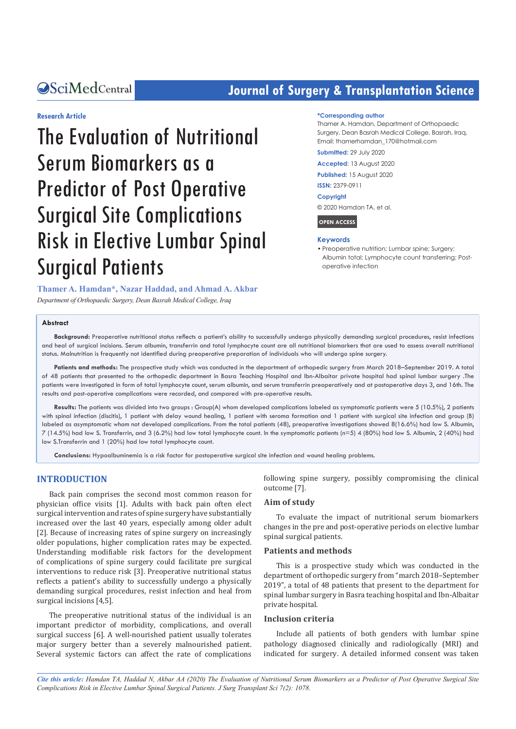## **CACENTRE CENTRE CONTROLLER SURFERIGHTER SCIENCE SCIENCE SCIENCE SCIENCE SCIENCE SCIENCE SCIENCE SCIENCE SCIENCE SCIENCE SCIENCE SCIENCE SCIENCE SCIENCE SCIENCE SCIENCE SCIENCE SCIENCE SCIENCE SCIENCE SCIENCE SCIENCE SCIEN**

**\*Corresponding author**

#### **Research Article**

# The Evaluation of Nutritional Serum Biomarkers as a Predictor of Post Operative Surgical Site Complications Risk in Elective Lumbar Spinal Surgical Patients

#### Thamer A. Hamdan, Department of Orthopaedic

Surgery, Dean Basrah Medical College, Basrah, Iraq, Email: thamerhamdan\_170@hotmail.com

**Submitted:** 29 July 2020

**Accepted:** 13 August 2020

**Published:** 15 August 2020

**ISSN:** 2379-0911

#### **Copyright**

© 2020 Hamdan TA, et al.

**OPEN ACCESS**

#### **Keywords**

• Preoperative nutrition; Lumbar spine; Surgery; Albumin total; Lymphocyte count transferring; Postoperative infection

**Thamer A. Hamdan\*, Nazar Haddad, and Ahmad A. Akbar** *Department of Orthopaedic Surgery, Dean Basrah Medical College, Iraq*

#### **Abstract**

**Background:** Preoperative nutritional status reflects a patient's ability to successfully undergo physically demanding surgical procedures, resist infections and heal of surgical incisions. Serum albumin, transferrin and total lymphocyte count are all nutritional biomarkers that are used to assess overall nutritional status. Malnutrition is frequently not identified during preoperative preparation of individuals who will undergo spine surgery.

**Patients and methods:** The prospective study which was conducted in the department of orthopedic surgery from March 2018–September 2019. A total of 48 patients that presented to the orthopedic department in Basra Teaching Hospital and Ibn-Albaitar private hospital had spinal lumbar surgery .The patients were investigated in form of total lymphocyte count, serum albumin, and serum transferrin preoperatively and at postoperative days 3, and 16th. The results and post-operative complications were recorded, and compared with pre-operative results.

**Results:** The patients was divided into two groups : Group(A) whom developed complications labeled as symptomatic patients were 5 (10.5%), 2 patients with spinal infection (discitis), 1 patient with delay wound healing, 1 patient with seroma formation and 1 patient with surgical site infection and group (B) labeled as asymptomatic whom not developed complications. From the total patients (48), preoperative investigations showed 8(16.6%) had low S. Albumin, 7 (14.5%) had low S. Transferrin, and 3 (6.2%) had low total lymphocyte count. In the symptomatic patients (n=5) 4 (80%) had low S. Albumin, 2 (40%) had low S.Transferrin and 1 (20%) had low total lymphocyte count.

**Conclusions:** Hypoalbuminemia is a risk factor for postoperative surgical site infection and wound healing problems.

#### **INTRODUCTION**

Back pain comprises the second most common reason for physician office visits [1]. Adults with back pain often elect surgical intervention and rates of spine surgery have substantially increased over the last 40 years, especially among older adult [2]. Because of increasing rates of spine surgery on increasingly older populations, higher complication rates may be expected. Understanding modifiable risk factors for the development of complications of spine surgery could facilitate pre surgical interventions to reduce risk [3]. Preoperative nutritional status reflects a patient's ability to successfully undergo a physically demanding surgical procedures, resist infection and heal from surgical incisions [4,5].

The preoperative nutritional status of the individual is an important predictor of morbidity, complications, and overall surgical success [6]. A well-nourished patient usually tolerates major surgery better than a severely malnourished patient. Several systemic factors can affect the rate of complications following spine surgery, possibly compromising the clinical outcome [7].

#### **Aim of study**

To evaluate the impact of nutritional serum biomarkers changes in the pre and post-operative periods on elective lumbar spinal surgical patients.

#### **Patients and methods**

This is a prospective study which was conducted in the department of orthopedic surgery from "march 2018–September 2019", a total of 48 patients that present to the department for spinal lumbar surgery in Basra teaching hospital and Ibn-Albaitar private hospital.

#### **Inclusion criteria**

Include all patients of both genders with lumbar spine pathology diagnosed clinically and radiologically (MRI) and indicated for surgery. A detailed informed consent was taken

*Cite this article: Hamdan TA, Haddad N, Akbar AA (2020) The Evaluation of Nutritional Serum Biomarkers as a Predictor of Post Operative Surgical Site Complications Risk in Elective Lumbar Spinal Surgical Patients. J Surg Transplant Sci 7(2): 1078.*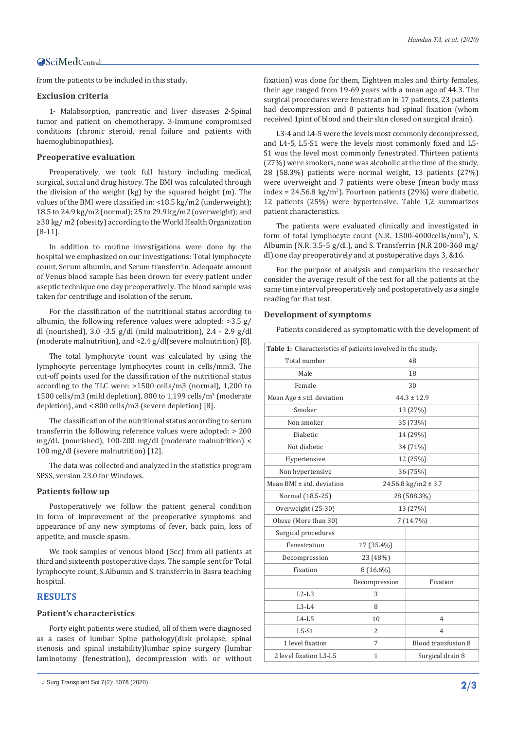from the patients to be included in this study.

#### **Exclusion criteria**

1- Malabsorption, pancreatic and liver diseases 2-Spinal tumor and patient on chemotherapy. 3-Immune compromised conditions (chronic steroid, renal failure and patients with haemoglubinopathies).

#### **Preoperative evaluation**

Preoperatively, we took full history including medical, surgical, social and drug history. The BMI was calculated through the division of the weight (kg) by the squared height (m). The values of the BMI were classified in: <18.5 kg/m2 (underweight); 18.5 to 24.9 kg/m2 (normal); 25 to 29.9 kg/m2 (overweight); and ≥30 kg/ m2 (obesity) according to the World Health Organization [8-11].

In addition to routine investigations were done by the hospital we emphasized on our investigations: Total lymphocyte count, Serum albumin, and Serum transferrin. Adequate amount of Venus blood sample has been drown for every patient under aseptic technique one day preoperatively. The blood sample was taken for centrifuge and isolation of the serum.

For the classification of the nutritional status according to albumin, the following reference values were adopted: >3.5 g/ dl (nourished), 3.0 -3.5 g/dl (mild malnutrition), 2.4 - 2.9 g/dl (moderate malnutrition), and <2.4 g/dl(severe malnutrition) [8].

The total lymphocyte count was calculated by using the lymphocyte percentage lymphocytes count in cells/mm3. The cut-off points used for the classification of the nutritional status according to the TLC were: >1500 cells/m3 (normal), 1,200 to  $1500$  cells/m3 (mild depletion), 800 to  $1,199$  cells/m<sup>3</sup> (moderate depletion), and < 800 cells/m3 (severe depletion) [8].

The classification of the nutritional status according to serum transferrin the following reference values were adopted: > 200 mg/dL (nourished), 100-200 mg/dl (moderate malnutrition) < 100 mg/dl (severe malnutrition) [12].

The data was collected and analyzed in the statistics program SPSS, version 23.0 for Windows.

#### **Patients follow up**

Postoperatively we follow the patient general condition in form of improvement of the preoperative symptoms and appearance of any new symptoms of fever, back pain, loss of appetite, and muscle spasm.

We took samples of venous blood (5cc) from all patients at third and sixteenth postoperative days. The sample sent for Total lymphocyte count, S.Albumin and S. transferrin in Basra teaching hospital.

#### **RESULTS**

#### **Patient's characteristics**

Forty eight patients were studied, all of them were diagnosed as a cases of lumbar Spine pathology(disk prolapse, spinal stenosis and spinal instability)lumbar spine surgery (lumbar laminotomy (fenestration), decompression with or without fixation) was done for them, Eighteen males and thirty females, their age ranged from 19-69 years with a mean age of 44.3. The surgical procedures were fenestration in 17 patients, 23 patients had decompression and 8 patients had spinal fixation (whom received 1pint of blood and their skin closed on surgical drain).

L3-4 and L4-5 were the levels most commonly decompressed, and L4-5, L5-S1 were the levels most commonly fixed and L5- S1 was the level most commonly fenestrated. Thirteen patients (27%) were smokers, none was alcoholic at the time of the study, 28 (58.3%) patients were normal weight, 13 patients (27%) were overweight and 7 patients were obese (mean body mass  $index = 24.56.8 kg/m<sup>2</sup>$ ). Fourteen patients (29%) were diabetic, 12 patients (25%) were hypertensive. Table 1,2 summarizes patient characteristics.

The patients were evaluated clinically and investigated in form of total lymphocyte count (N.R. 1500-4000cells/mm<sup>3</sup> ), S. Albumin (N.R. 3.5-5 g/dl.), and S. Transferrin (N.R 200-360 mg/ dl) one day preoperatively and at postoperative days 3, &16.

For the purpose of analysis and comparism the researcher consider the average result of the test for all the patients at the same time interval preoperatively and postoperatively as a single reading for that test.

#### **Development of symptoms**

Patients considered as symptomatic with the development of

| Table 1: Characteristics of patients involved in the study. |                          |                           |  |  |  |  |  |
|-------------------------------------------------------------|--------------------------|---------------------------|--|--|--|--|--|
| Total number                                                | 48                       |                           |  |  |  |  |  |
| Male                                                        |                          | 18                        |  |  |  |  |  |
| Female                                                      |                          | 30                        |  |  |  |  |  |
| Mean Age $\pm$ std. deviation                               |                          | $44.3 \pm 12.9$           |  |  |  |  |  |
| Smoker                                                      |                          | 13 (27%)                  |  |  |  |  |  |
| Non smoker                                                  |                          | 35 (73%)                  |  |  |  |  |  |
| <b>Diabetic</b>                                             |                          | 14 (29%)                  |  |  |  |  |  |
| Not diabetic                                                |                          | 34 (71%)                  |  |  |  |  |  |
| Hypertensive                                                |                          | 12 (25%)                  |  |  |  |  |  |
| Non hypertensive                                            | 36 (75%)                 |                           |  |  |  |  |  |
| Mean BMI ± std. deviation                                   |                          | $24.56.8$ kg/m2 $\pm$ 3.7 |  |  |  |  |  |
| Normal (18.5-25)                                            | 28 (588.3%)              |                           |  |  |  |  |  |
| Overweight (25-30)                                          | 13 (27%)                 |                           |  |  |  |  |  |
| Obese (More than 30)                                        | 7 (14.7%)                |                           |  |  |  |  |  |
| Surgical procedures                                         |                          |                           |  |  |  |  |  |
| Fenestration                                                | 17 (35.4%)               |                           |  |  |  |  |  |
| Decompression                                               | 23 (48%)                 |                           |  |  |  |  |  |
| Fixation                                                    | 8 (16.6%)                |                           |  |  |  |  |  |
|                                                             | Decompression            | Fixation                  |  |  |  |  |  |
| $L2-L3$                                                     | 3                        |                           |  |  |  |  |  |
| $L3-L4$                                                     | 8                        |                           |  |  |  |  |  |
| $L4-L5$                                                     | 10<br>4                  |                           |  |  |  |  |  |
| $L5-S1$                                                     | 2<br>4                   |                           |  |  |  |  |  |
| 1 level fixation                                            | 7<br>Blood transfusion 8 |                           |  |  |  |  |  |
| 2 level fixation L3-L5                                      | $\mathbf{1}$             | Surgical drain 8          |  |  |  |  |  |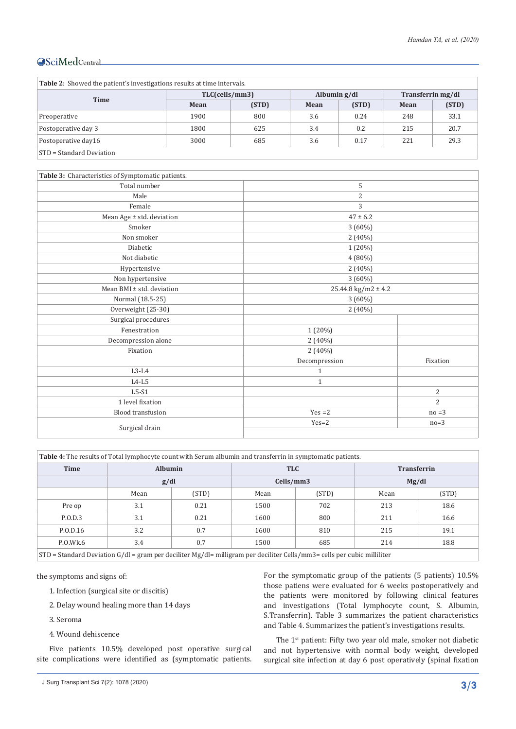| Table 2: Showed the patient's investigations results at time intervals. |                |       |                |       |                   |       |  |  |
|-------------------------------------------------------------------------|----------------|-------|----------------|-------|-------------------|-------|--|--|
|                                                                         | TLC(cells/mm3) |       | Albumin $g/dl$ |       | Transferrin mg/dl |       |  |  |
| <b>Time</b>                                                             | Mean           | (STD) | Mean           | (STD) | Mean              | (STD) |  |  |
| Preoperative                                                            | 1900           | 800   | 3.6            | 0.24  | 248               | 33.1  |  |  |
| Postoperative day 3                                                     | 1800           | 625   | 3.4            | 0.2   | 215               | 20.7  |  |  |
| Postoperative day16                                                     | 3000           | 685   | 3.6            | 0.17  | 221               | 29.3  |  |  |
| STD = Standard Deviation                                                |                |       |                |       |                   |       |  |  |

| Table 3: Characteristics of Symptomatic patients. |                           |                |  |  |  |  |
|---------------------------------------------------|---------------------------|----------------|--|--|--|--|
| Total number                                      | 5                         |                |  |  |  |  |
| Male                                              | 2                         |                |  |  |  |  |
| Female                                            | 3                         |                |  |  |  |  |
| Mean Age ± std. deviation                         | $47 \pm 6.2$              |                |  |  |  |  |
| Smoker                                            | $3(60\%)$                 |                |  |  |  |  |
| Non smoker                                        | $2(40\%)$                 |                |  |  |  |  |
| Diabetic                                          | 1 (20%)                   |                |  |  |  |  |
| Not diabetic                                      | 4 (80%)                   |                |  |  |  |  |
| Hypertensive                                      | $2(40\%)$                 |                |  |  |  |  |
| Non hypertensive                                  | $3(60\%)$                 |                |  |  |  |  |
| Mean BMI ± std. deviation                         | $25.44.8$ kg/m2 $\pm$ 4.2 |                |  |  |  |  |
| Normal (18.5-25)<br>3 (60%)                       |                           |                |  |  |  |  |
| Overweight (25-30)                                | $2(40\%)$                 |                |  |  |  |  |
| Surgical procedures                               |                           |                |  |  |  |  |
| Fenestration                                      | $1(20\%)$                 |                |  |  |  |  |
| Decompression alone                               | $2(40\%)$                 |                |  |  |  |  |
| Fixation                                          | 2(40%)                    |                |  |  |  |  |
|                                                   | Decompression             | Fixation       |  |  |  |  |
| $L3-L4$                                           | 1                         |                |  |  |  |  |
| $L4-L5$                                           | $\mathbf{1}$              |                |  |  |  |  |
| $L5-S1$                                           |                           | $\overline{2}$ |  |  |  |  |
| 1 level fixation                                  |                           | $\overline{2}$ |  |  |  |  |
| <b>Blood transfusion</b>                          | $Yes = 2$                 | $no = 3$       |  |  |  |  |
|                                                   | $Yes=2$                   | $no=3$         |  |  |  |  |
| Surgical drain                                    |                           |                |  |  |  |  |

| <b>Table 4:</b> The results of Total lymphocyte count with Serum albumin and transferrin in symptomatic patients.          |                                                 |                |            |     |                    |      |  |
|----------------------------------------------------------------------------------------------------------------------------|-------------------------------------------------|----------------|------------|-----|--------------------|------|--|
| <b>Time</b>                                                                                                                |                                                 | <b>Albumin</b> | <b>TLC</b> |     | <b>Transferrin</b> |      |  |
|                                                                                                                            |                                                 | g/dl           | Cells/mm3  |     | Mg/dl              |      |  |
|                                                                                                                            | (STD)<br>(STD)<br>(STD)<br>Mean<br>Mean<br>Mean |                |            |     |                    |      |  |
| Pre op                                                                                                                     | 3.1                                             | 0.21           | 1500       | 702 | 213                | 18.6 |  |
| P.O.D.3                                                                                                                    | 3.1                                             | 0.21           | 1600       | 800 | 211                | 16.6 |  |
| P.O.D.16                                                                                                                   | 3.2                                             | 0.7            | 1600       | 810 | 215                | 19.1 |  |
| P.O.Wk.6                                                                                                                   | 3.4                                             | 0.7            | 1500       | 685 | 214                | 18.8 |  |
| $STD$ = Standard Deviation G/dl = gram per deciliter Mg/dl = milligram per deciliter Cells/mm3= cells per cubic milliliter |                                                 |                |            |     |                    |      |  |

the symptoms and signs of:

- 1. Infection (surgical site or discitis)
- 2. Delay wound healing more than 14 days
- 3. Seroma
- 4. Wound dehiscence

Five patients 10.5% developed post operative surgical site complications were identified as (symptomatic patients. For the symptomatic group of the patients (5 patients) 10.5% those patiens were evaluated for 6 weeks postoperatively and the patients were monitored by following clinical features and investigations (Total lymphocyte count, S. Albumin, S.Transferrin). Table 3 summarizes the patient characteristics and Table 4. Summarizes the patient's investigations results.

The 1<sup>st</sup> patient: Fifty two year old male, smoker not diabetic and not hypertensive with normal body weight, developed surgical site infection at day 6 post operatively (spinal fixation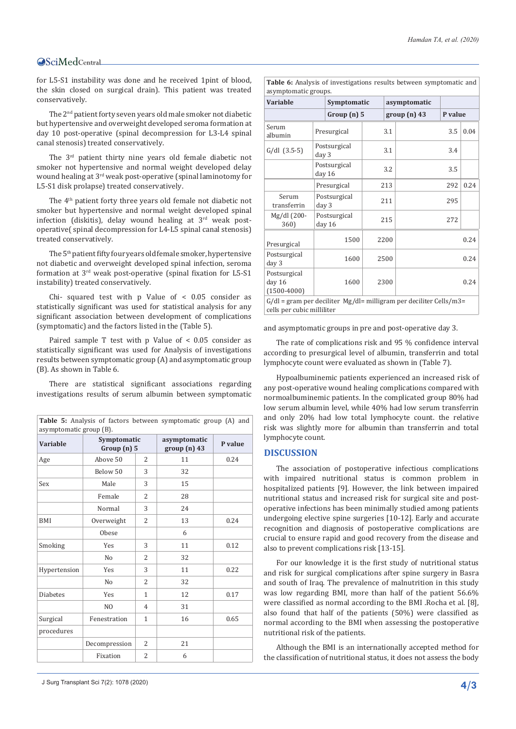for L5-S1 instability was done and he received 1pint of blood, the skin closed on surgical drain). This patient was treated conservatively.

The 2nd patient forty seven years old male smoker not diabetic but hypertensive and overweight developed seroma formation at day 10 post-operative (spinal decompression for L3-L4 spinal canal stenosis) treated conservatively.

The 3rd patient thirty nine years old female diabetic not smoker not hypertensive and normal weight developed delay wound healing at 3rd weak post-operative (spinal laminotomy for L5-S1 disk prolapse) treated conservatively.

The 4th patient forty three years old female not diabetic not smoker but hypertensive and normal weight developed spinal infection (diskitis), delay wound healing at 3rd weak postoperative( spinal decompression for L4-L5 spinal canal stenosis) treated conservatively.

The 5th patient fifty four years old female smoker, hypertensive not diabetic and overweight developed spinal infection, seroma formation at 3rd weak post-operative (spinal fixation for L5-S1 instability) treated conservatively.

Chi- squared test with p Value of < 0.05 consider as statistically significant was used for statistical analysis for any significant association between development of complications (symptomatic) and the factors listed in the (Table 5).

Paired sample T test with p Value of < 0.05 consider as statistically significant was used for Analysis of investigations results between symptomatic group (A) and asymptomatic group (B). As shown in Table 6.

There are statistical significant associations regarding investigations results of serum albumin between symptomatic

| <b>Table 5:</b> Analysis of factors between symptomatic group (A) and<br>asymptomatic group (B). |                              |                |                             |         |  |  |  |
|--------------------------------------------------------------------------------------------------|------------------------------|----------------|-----------------------------|---------|--|--|--|
| <b>Variable</b>                                                                                  | Symptomatic<br>Group(n)5     |                | asymptomatic<br>group(n) 43 | P value |  |  |  |
| Age                                                                                              | Above 50<br>$\overline{2}$   |                | 11                          | 0.24    |  |  |  |
|                                                                                                  | Below 50                     | 3              | 32                          |         |  |  |  |
| Sex                                                                                              | Male                         | 3              | 15                          |         |  |  |  |
|                                                                                                  | Female                       | $\overline{2}$ | 28                          |         |  |  |  |
|                                                                                                  | Normal                       | 3              | 24                          |         |  |  |  |
| <b>BMI</b>                                                                                       | Overweight<br>$\overline{2}$ |                | 13                          | 0.24    |  |  |  |
|                                                                                                  | Obese                        |                | 6                           |         |  |  |  |
| Smoking                                                                                          | Yes                          | 3              | 11                          | 0.12    |  |  |  |
|                                                                                                  | N <sub>0</sub>               | $\overline{2}$ | 32                          |         |  |  |  |
| Hypertension                                                                                     | Yes                          | 3              | 11                          | 0.22    |  |  |  |
|                                                                                                  | N <sub>0</sub>               | $\overline{2}$ | 32                          |         |  |  |  |
| <b>Diabetes</b>                                                                                  | Yes                          | $\mathbf{1}$   | 12                          | 0.17    |  |  |  |
|                                                                                                  | N <sub>O</sub>               | $\overline{4}$ | 31                          |         |  |  |  |
| Surgical                                                                                         | Fenestration                 | 1              | 16                          | 0.65    |  |  |  |
| procedures                                                                                       |                              |                |                             |         |  |  |  |
|                                                                                                  | Decompression                | 2              | 21                          |         |  |  |  |
|                                                                                                  | Fixation                     | 2              | 6                           |         |  |  |  |

*Hamdan TA, et al. (2020)*

**Table 6:** Analysis of investigations results between symptomatic and asymptomatic groups.

| <b>Variable</b>                                                                                        |                        | Symptomatic            | asymptomatic |      |             |         |      |
|--------------------------------------------------------------------------------------------------------|------------------------|------------------------|--------------|------|-------------|---------|------|
|                                                                                                        |                        | Group(n)5              |              |      | group(n) 43 | P value |      |
| Serum<br>albumin                                                                                       |                        | Presurgical            |              | 3.1  |             | 3.5     | 0.04 |
| $G/dl$ $(3.5-5)$                                                                                       | day 3                  | Postsurgical           |              | 3.1  |             | 3.4     |      |
|                                                                                                        | Postsurgical<br>day 16 |                        |              | 3.2  |             | 3.5     |      |
|                                                                                                        | Presurgical            |                        |              | 213  |             | 292     |      |
| Serum<br>transferrin                                                                                   | Postsurgical<br>day 3  |                        |              | 211  |             | 295     |      |
| Mg/dl (200-<br>360)                                                                                    |                        | Postsurgical<br>day 16 |              | 215  |             | 272     |      |
| Presurgical                                                                                            |                        | 1500                   |              | 2200 |             |         | 0.24 |
| Postsurgical<br>day 3                                                                                  |                        | 1600                   |              | 2500 |             | 0.24    |      |
| Postsurgical<br>day 16<br>$(1500-4000)$                                                                |                        | 1600                   |              | 2300 |             | 0.24    |      |
| $G/dl$ = gram per deciliter $Mg/dl$ = milligram per deciliter Cells/m3 =<br>cells per cubic milliliter |                        |                        |              |      |             |         |      |

and asymptomatic groups in pre and post-operative day 3.

The rate of complications risk and 95 % confidence interval according to presurgical level of albumin, transferrin and total lymphocyte count were evaluated as shown in (Table 7).

Hypoalbuminemic patients experienced an increased risk of any post-operative wound healing complications compared with normoalbuminemic patients. In the complicated group 80% had low serum albumin level, while 40% had low serum transferrin and only 20% had low total lymphocyte count. the relative risk was slightly more for albumin than transferrin and total lymphocyte count.

#### **DISCUSSION**

The association of postoperative infectious complications with impaired nutritional status is common problem in hospitalized patients [9]. However, the link between impaired nutritional status and increased risk for surgical site and postoperative infections has been minimally studied among patients undergoing elective spine surgeries [10-12]. Early and accurate recognition and diagnosis of postoperative complications are crucial to ensure rapid and good recovery from the disease and also to prevent complications risk [13-15].

For our knowledge it is the first study of nutritional status and risk for surgical complications after spine surgery in Basra and south of Iraq. The prevalence of malnutrition in this study was low regarding BMI, more than half of the patient 56.6% were classified as normal according to the BMI .Rocha et al. [8], also found that half of the patients (50%) were classified as normal according to the BMI when assessing the postoperative nutritional risk of the patients.

Although the BMI is an internationally accepted method for the classification of nutritional status, it does not assess the body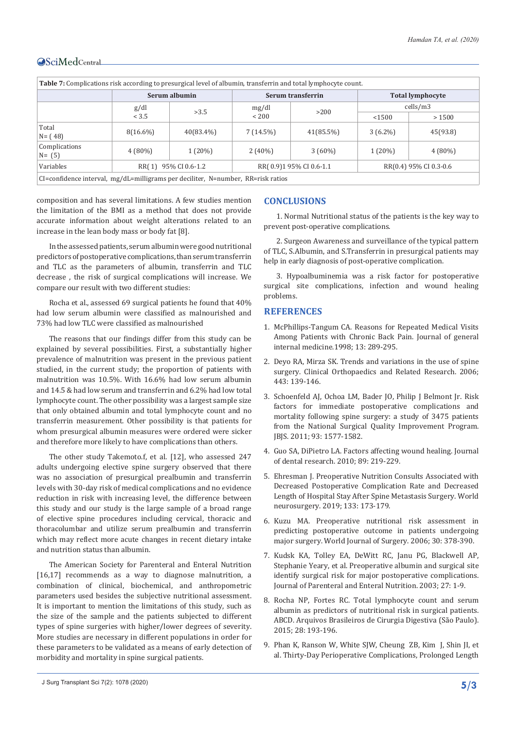| Table 7: Complications risk according to presurgical level of albumin, transferrin and total lymphocyte count. |                                                                          |           |                   |           |                         |           |  |
|----------------------------------------------------------------------------------------------------------------|--------------------------------------------------------------------------|-----------|-------------------|-----------|-------------------------|-----------|--|
|                                                                                                                | Serum albumin                                                            |           | Serum transferrin |           | <b>Total lymphocyte</b> |           |  |
|                                                                                                                | g/dl                                                                     | >3.5      | mg/dl             | >200      | cells/m3                |           |  |
|                                                                                                                | < 3.5                                                                    |           | ${}_{<}$ 200      |           | < 1500                  | >1500     |  |
| Total<br>$N = (48)$                                                                                            | $8(16.6\%)$                                                              | 40(83.4%) | 7(14.5%)          | 41(85.5%) | $3(6.2\%)$              | 45(93.8)  |  |
| Complications<br>$N = (5)$                                                                                     | $4(80\%)$                                                                | $1(20\%)$ | $2(40\%)$         | $3(60\%)$ | $1(20\%)$               | $4(80\%)$ |  |
| Variables                                                                                                      | RR(1) 95% CI 0.6-1.2<br>RR(0.9)195% CI 0.6-1.1<br>RR(0.4) 95% CI 0.3-0.6 |           |                   |           |                         |           |  |
| $CI = confidence$ interval, mg/dL=milligrams per deciliter, N=number, RR=risk ratios                           |                                                                          |           |                   |           |                         |           |  |

composition and has several limitations. A few studies mention the limitation of the BMI as a method that does not provide accurate information about weight alterations related to an increase in the lean body mass or body fat [8].

In the assessed patients, serum albumin were good nutritional predictors of postoperative complications, than serum transferrin and TLC as the parameters of albumin, transferrin and TLC decrease , the risk of surgical complications will increase. We compare our result with two different studies:

Rocha et al., assessed 69 surgical patients he found that 40% had low serum albumin were classified as malnourished and 73% had low TLC were classified as malnourished

The reasons that our findings differ from this study can be explained by several possibilities. First, a substantially higher prevalence of malnutrition was present in the previous patient studied, in the current study; the proportion of patients with malnutrition was 10.5%. With 16.6% had low serum albumin and 14.5 & had low serum and transferrin and 6.2% had low total lymphocyte count. The other possibility was a largest sample size that only obtained albumin and total lymphocyte count and no transferrin measurement. Other possibility is that patients for whom presurgical albumin measures were ordered were sicker and therefore more likely to have complications than others.

The other study Takemoto.f, et al. [12], who assessed 247 adults undergoing elective spine surgery observed that there was no association of presurgical prealbumin and transferrin levels with 30-day risk of medical complications and no evidence reduction in risk with increasing level, the difference between this study and our study is the large sample of a broad range of elective spine procedures including cervical, thoracic and thoracolumbar and utilize serum prealbumin and transferrin which may reflect more acute changes in recent dietary intake and nutrition status than albumin.

The American Society for Parenteral and Enteral Nutrition [16,17] recommends as a way to diagnose malnutrition, a combination of clinical, biochemical, and anthropometric parameters used besides the subjective nutritional assessment. It is important to mention the limitations of this study, such as the size of the sample and the patients subjected to different types of spine surgeries with higher/lower degrees of severity. More studies are necessary in different populations in order for these parameters to be validated as a means of early detection of morbidity and mortality in spine surgical patients.

#### **CONCLUSIONS**

1. Normal Nutritional status of the patients is the key way to prevent post-operative complications.

2. Surgeon Awareness and surveillance of the typical pattern of TLC, S.Albumin, and S.Transferrin in presurgical patients may help in early diagnosis of post-operative complication.

3. Hypoalbuminemia was a risk factor for postoperative surgical site complications, infection and wound healing problems.

#### **REFERENCES**

- 1. [McPhillips-Tangum CA. Reasons for Repeated Medical Visits](https://link.springer.com/article/10.1046/j.1525-1497.1998.00093.x)  [Among Patients with Chronic Back Pain. Journal of general](https://link.springer.com/article/10.1046/j.1525-1497.1998.00093.x)  [internal medicine.1998; 13: 289-295.](https://link.springer.com/article/10.1046/j.1525-1497.1998.00093.x)
- 2. [Deyo RA, Mirza SK. Trends and variations in the use of spine](https://pubmed.ncbi.nlm.nih.gov/16462438/)  [surgery. Clinical Orthopaedics and Related Research. 2006;](https://pubmed.ncbi.nlm.nih.gov/16462438/)  [443: 139-146.](https://pubmed.ncbi.nlm.nih.gov/16462438/)
- 3. [Schoenfeld AJ, Ochoa LM, Bader JO, Philip J Belmont Jr. Risk](https://pubmed.ncbi.nlm.nih.gov/21915571/)  [factors for immediate postoperative complications and](https://pubmed.ncbi.nlm.nih.gov/21915571/)  [mortality following spine surgery: a study of 3475 patients](https://pubmed.ncbi.nlm.nih.gov/21915571/)  [from the National Surgical Quality Improvement Program.](https://pubmed.ncbi.nlm.nih.gov/21915571/)  [JBJS. 2011; 93: 1577-1582.](https://pubmed.ncbi.nlm.nih.gov/21915571/)
- 4. Guo SA, DiPietro LA. Factors affecting wound healing. Journal of dental research. 2010; 89: 219-229.
- 5. [Ehresman J. Preoperative Nutrition Consults Associated with](https://pubmed.ncbi.nlm.nih.gov/31493604/)  [Decreased Postoperative Complication Rate and Decreased](https://pubmed.ncbi.nlm.nih.gov/31493604/)  [Length of Hospital Stay After Spine Metastasis Surgery. World](https://pubmed.ncbi.nlm.nih.gov/31493604/)  [neurosurgery. 2019; 133: 173-179.](https://pubmed.ncbi.nlm.nih.gov/31493604/)
- 6. [Kuzu MA. Preoperative nutritional risk assessment in](https://pubmed.ncbi.nlm.nih.gov/16479353/)  [predicting postoperative outcome in patients undergoing](https://pubmed.ncbi.nlm.nih.gov/16479353/)  [major surgery. World Journal of Surgery. 2006; 30: 378-390.](https://pubmed.ncbi.nlm.nih.gov/16479353/)
- 7. [Kudsk KA, Tolley EA, DeWitt RC, Janu PG, Blackwell AP,](https://pubmed.ncbi.nlm.nih.gov/12549591/)  [Stephanie Yeary, et al. Preoperative albumin and surgical site](https://pubmed.ncbi.nlm.nih.gov/12549591/)  [identify surgical risk for major postoperative complications.](https://pubmed.ncbi.nlm.nih.gov/12549591/)  [Journal of Parenteral and Enteral Nutrition. 2003; 27: 1-9.](https://pubmed.ncbi.nlm.nih.gov/12549591/)
- 8. [Rocha NP, Fortes RC. Total lymphocyte count and serum](https://www.ncbi.nlm.nih.gov/pmc/articles/PMC4737361/)  [albumin as predictors of nutritional risk in surgical patients.](https://www.ncbi.nlm.nih.gov/pmc/articles/PMC4737361/)  [ABCD. Arquivos Brasileiros de Cirurgia Digestiva \(São Paulo\).](https://www.ncbi.nlm.nih.gov/pmc/articles/PMC4737361/)  [2015; 28: 193-196.](https://www.ncbi.nlm.nih.gov/pmc/articles/PMC4737361/)
- 9. [Phan K, Ranson W, White SJW, Cheung ZB, Kim J, Shin JI, et](https://pubmed.ncbi.nlm.nih.gov/31218201/)  [al. Thirty-Day Perioperative Complications, Prolonged Length](https://pubmed.ncbi.nlm.nih.gov/31218201/)

J Surg Transplant Sci 7(2): 1078 (2020) **5/3**